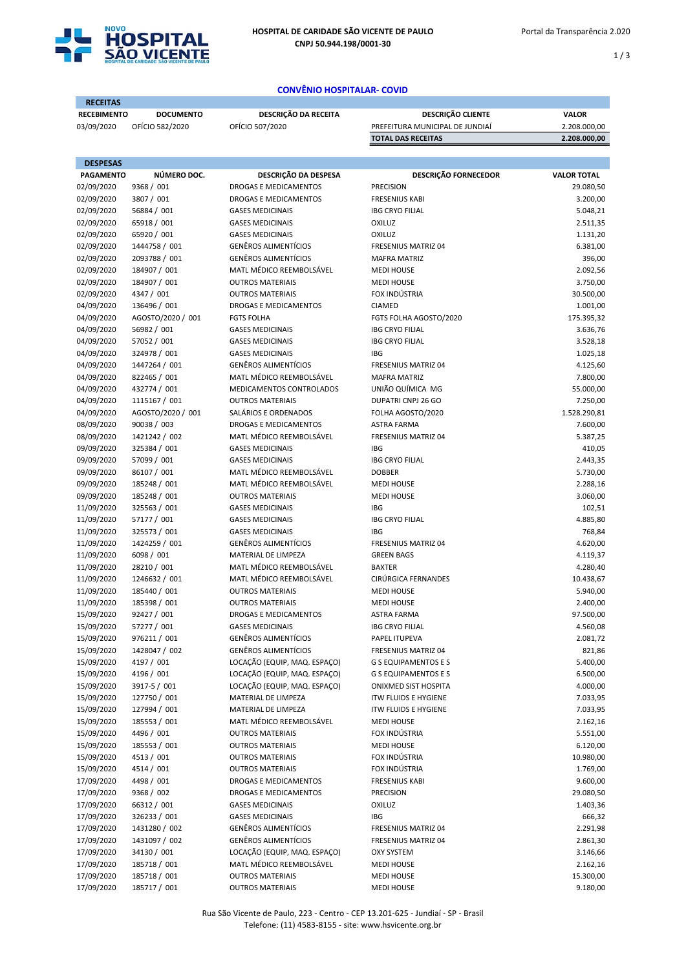

1 / 3

## CONVÊNIO HOSPITALAR- COVID

| <b>RECEITAS</b>          |                             |                                                        |                                         |                       |
|--------------------------|-----------------------------|--------------------------------------------------------|-----------------------------------------|-----------------------|
| <b>RECEBIMENTO</b>       | <b>DOCUMENTO</b>            | DESCRIÇÃO DA RECEITA                                   | DESCRIÇÃO CLIENTE                       | <b>VALOR</b>          |
| 03/09/2020               | OFÍCIO 582/2020             | OFÍCIO 507/2020                                        | PREFEITURA MUNICIPAL DE JUNDIAÍ         | 2.208.000,00          |
|                          |                             |                                                        | <b>TOTAL DAS RECEITAS</b>               | 2.208.000,00          |
| <b>DESPESAS</b>          |                             |                                                        |                                         |                       |
| <b>PAGAMENTO</b>         | NÚMERO DOC.                 | DESCRIÇÃO DA DESPESA                                   | <b>DESCRIÇÃO FORNECEDOR</b>             | <b>VALOR TOTAL</b>    |
| 02/09/2020               | 9368 / 001                  | DROGAS E MEDICAMENTOS                                  | <b>PRECISION</b>                        | 29.080,50             |
| 02/09/2020               | 3807 / 001                  | DROGAS E MEDICAMENTOS                                  | <b>FRESENIUS KABI</b>                   | 3.200,00              |
| 02/09/2020               | 56884 / 001                 | <b>GASES MEDICINAIS</b>                                | <b>IBG CRYO FILIAL</b>                  | 5.048,21              |
| 02/09/2020               | 65918 / 001                 | <b>GASES MEDICINAIS</b>                                | OXILUZ                                  | 2.511,35              |
| 02/09/2020               | 65920 / 001                 | <b>GASES MEDICINAIS</b>                                | OXILUZ                                  | 1.131,20              |
| 02/09/2020               | 1444758 / 001               | <b>GENÊROS ALIMENTÍCIOS</b>                            | <b>FRESENIUS MATRIZ 04</b>              | 6.381,00              |
| 02/09/2020               | 2093788 / 001               | <b>GENÊROS ALIMENTÍCIOS</b>                            | <b>MAFRA MATRIZ</b>                     | 396,00                |
| 02/09/2020               | 184907 / 001                | MATL MÉDICO REEMBOLSÁVEL                               | <b>MEDI HOUSE</b>                       | 2.092,56              |
| 02/09/2020               | 184907 / 001                | <b>OUTROS MATERIAIS</b>                                | <b>MEDI HOUSE</b>                       | 3.750,00              |
| 02/09/2020               | 4347 / 001                  | <b>OUTROS MATERIAIS</b>                                | FOX INDÚSTRIA                           | 30.500,00             |
| 04/09/2020               | 136496 / 001                | DROGAS E MEDICAMENTOS                                  | CIAMED                                  | 1.001,00              |
| 04/09/2020               | AGOSTO/2020 / 001           | <b>FGTS FOLHA</b>                                      | FGTS FOLHA AGOSTO/2020                  | 175.395,32            |
| 04/09/2020               | 56982 / 001                 | <b>GASES MEDICINAIS</b>                                | <b>IBG CRYO FILIAL</b>                  | 3.636,76              |
| 04/09/2020               | 57052 / 001                 | <b>GASES MEDICINAIS</b>                                | <b>IBG CRYO FILIAL</b>                  | 3.528,18              |
| 04/09/2020               | 324978 / 001                | <b>GASES MEDICINAIS</b>                                | <b>IBG</b>                              | 1.025,18              |
| 04/09/2020               | 1447264 / 001               | <b>GENÊROS ALIMENTÍCIOS</b>                            | <b>FRESENIUS MATRIZ 04</b>              | 4.125,60              |
| 04/09/2020               | 822465 / 001                | MATL MÉDICO REEMBOLSÁVEL                               | <b>MAFRA MATRIZ</b>                     | 7.800,00              |
| 04/09/2020               | 432774 / 001                | MEDICAMENTOS CONTROLADOS                               | UNIÃO QUÍMICA MG                        | 55.000,00             |
| 04/09/2020               | 1115167 / 001               | <b>OUTROS MATERIAIS</b>                                | DUPATRI CNPJ 26 GO                      | 7.250,00              |
| 04/09/2020               | AGOSTO/2020 / 001           | SALÁRIOS E ORDENADOS                                   | FOLHA AGOSTO/2020                       | 1.528.290,81          |
| 08/09/2020               | 90038 / 003                 | DROGAS E MEDICAMENTOS                                  | <b>ASTRA FARMA</b>                      | 7.600,00              |
| 08/09/2020               | 1421242 / 002               | MATL MÉDICO REEMBOLSÁVEL                               | <b>FRESENIUS MATRIZ 04</b>              | 5.387,25              |
| 09/09/2020               | 325384 / 001                | <b>GASES MEDICINAIS</b>                                | <b>IBG</b>                              | 410,05                |
| 09/09/2020               | 57099 / 001                 | <b>GASES MEDICINAIS</b>                                | <b>IBG CRYO FILIAL</b>                  | 2.443,35              |
| 09/09/2020               | 86107 / 001                 | MATL MÉDICO REEMBOLSÁVEL                               | <b>DOBBER</b>                           | 5.730,00              |
| 09/09/2020               | 185248 / 001                | MATL MÉDICO REEMBOLSÁVEL                               | <b>MEDI HOUSE</b>                       | 2.288,16              |
| 09/09/2020               | 185248 / 001                | <b>OUTROS MATERIAIS</b>                                | <b>MEDI HOUSE</b>                       | 3.060,00              |
| 11/09/2020               | 325563 / 001                | <b>GASES MEDICINAIS</b>                                | <b>IBG</b>                              | 102,51                |
| 11/09/2020               | 57177 / 001                 | <b>GASES MEDICINAIS</b>                                | <b>IBG CRYO FILIAL</b>                  | 4.885,80              |
| 11/09/2020               | 325573 / 001                | <b>GASES MEDICINAIS</b>                                | <b>IBG</b>                              | 768,84                |
| 11/09/2020               | 1424259 / 001               | <b>GENÊROS ALIMENTÍCIOS</b>                            | <b>FRESENIUS MATRIZ 04</b>              | 4.620,00              |
| 11/09/2020               | 6098 / 001                  | MATERIAL DE LIMPEZA                                    | <b>GREEN BAGS</b>                       | 4.119,37              |
| 11/09/2020               | 28210 / 001                 | MATL MÉDICO REEMBOLSÁVEL                               | <b>BAXTER</b>                           | 4.280,40              |
| 11/09/2020               | 1246632 / 001               | MATL MÉDICO REEMBOLSÁVEL                               | CIRÚRGICA FERNANDES                     | 10.438,67             |
| 11/09/2020               | 185440 / 001                | <b>OUTROS MATERIAIS</b><br><b>OUTROS MATERIAIS</b>     | <b>MEDI HOUSE</b>                       | 5.940,00              |
| 11/09/2020<br>15/09/2020 | 185398 / 001<br>92427 / 001 | DROGAS E MEDICAMENTOS                                  | <b>MEDI HOUSE</b>                       | 2.400,00<br>97.500,00 |
|                          |                             |                                                        | ASTRA FARMA                             | 4.560,08              |
| 15/09/2020<br>15/09/2020 | 57277 / 001<br>976211 / 001 | <b>GASES MEDICINAIS</b><br><b>GENÊROS ALIMENTÍCIOS</b> | <b>IBG CRYO FILIAL</b><br>PAPEL ITUPEVA | 2.081,72              |
| 15/09/2020               | 1428047 / 002               | <b>GENÊROS ALIMENTÍCIOS</b>                            | FRESENIUS MATRIZ 04                     | 821,86                |
| 15/09/2020               | 4197 / 001                  | LOCAÇÃO (EQUIP, MAQ. ESPAÇO)                           | <b>G S EQUIPAMENTOS E S</b>             | 5.400,00              |
| 15/09/2020               | 4196 / 001                  | LOCAÇÃO (EQUIP, MAQ. ESPAÇO)                           | <b>G S EQUIPAMENTOS E S</b>             | 6.500,00              |
| 15/09/2020               | 3917-5 / 001                | LOCAÇÃO (EQUIP, MAQ. ESPAÇO)                           | ONIXMED SIST HOSPITA                    | 4.000,00              |
| 15/09/2020               | 127750 / 001                | MATERIAL DE LIMPEZA                                    | <b>ITW FLUIDS E HYGIENE</b>             | 7.033,95              |
| 15/09/2020               | 127994 / 001                | MATERIAL DE LIMPEZA                                    | <b>ITW FLUIDS E HYGIENE</b>             | 7.033,95              |
| 15/09/2020               | 185553 / 001                | MATL MÉDICO REEMBOLSÁVEL                               | <b>MEDI HOUSE</b>                       | 2.162,16              |
| 15/09/2020               | 4496 / 001                  | <b>OUTROS MATERIAIS</b>                                | FOX INDÚSTRIA                           | 5.551,00              |
| 15/09/2020               | 185553 / 001                | <b>OUTROS MATERIAIS</b>                                | <b>MEDI HOUSE</b>                       | 6.120,00              |
| 15/09/2020               | 4513 / 001                  | <b>OUTROS MATERIAIS</b>                                | FOX INDÚSTRIA                           | 10.980,00             |
| 15/09/2020               | 4514 / 001                  | <b>OUTROS MATERIAIS</b>                                | FOX INDÚSTRIA                           | 1.769,00              |
| 17/09/2020               | 4498 / 001                  | DROGAS E MEDICAMENTOS                                  | <b>FRESENIUS KABI</b>                   | 9.600,00              |
| 17/09/2020               | 9368 / 002                  | DROGAS E MEDICAMENTOS                                  | <b>PRECISION</b>                        | 29.080,50             |
| 17/09/2020               | 66312 / 001                 | <b>GASES MEDICINAIS</b>                                | OXILUZ                                  | 1.403,36              |
| 17/09/2020               | 326233 / 001                | <b>GASES MEDICINAIS</b>                                | IBG                                     | 666,32                |
| 17/09/2020               | 1431280 / 002               | <b>GENÊROS ALIMENTÍCIOS</b>                            | FRESENIUS MATRIZ 04                     | 2.291,98              |
| 17/09/2020               | 1431097 / 002               | <b>GENÊROS ALIMENTÍCIOS</b>                            | FRESENIUS MATRIZ 04                     | 2.861,30              |
| 17/09/2020               | 34130 / 001                 | LOCAÇÃO (EQUIP, MAQ. ESPAÇO)                           | <b>OXY SYSTEM</b>                       | 3.146,66              |
| 17/09/2020               | 185718 / 001                | MATL MÉDICO REEMBOLSÁVEL                               | <b>MEDI HOUSE</b>                       | 2.162,16              |
| 17/09/2020               | 185718 / 001                | <b>OUTROS MATERIAIS</b>                                | <b>MEDI HOUSE</b>                       | 15.300,00             |
| 17/09/2020               | 185717 / 001                | <b>OUTROS MATERIAIS</b>                                | <b>MEDI HOUSE</b>                       | 9.180,00              |
|                          |                             |                                                        |                                         |                       |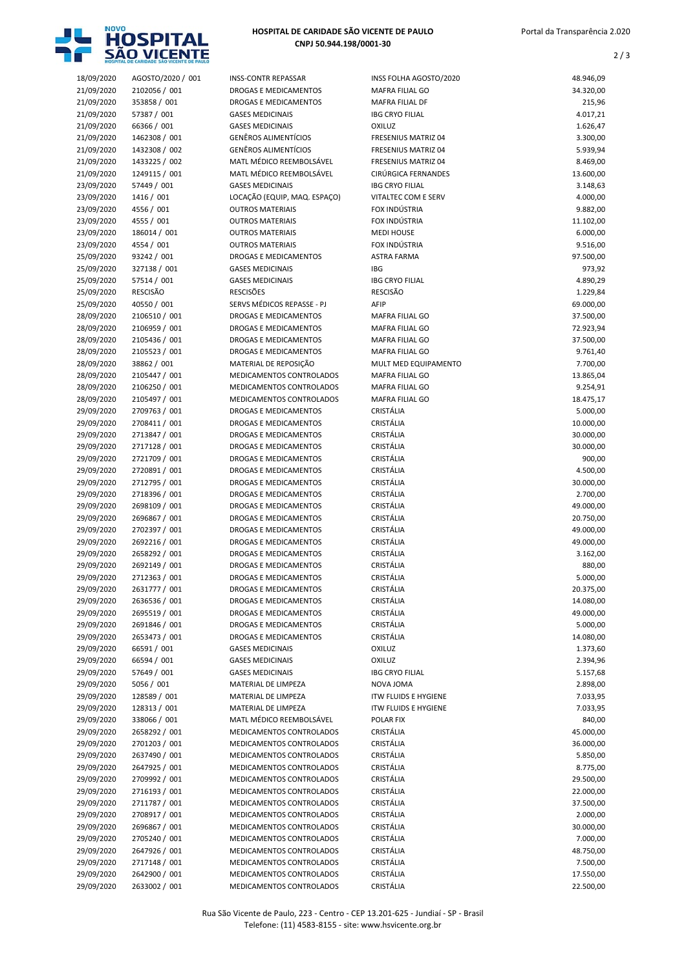

## HOSPITAL DE CARIDADE SÃO VICENTE DE PAULO CNPJ 50.944.198/0001-30

2 / 3

| 18/09/2020               | AGOSTO/2020 / 001              | <b>INSS-CONTR REPASSAR</b>                            | INSS FOLHA AGOSTO/2020                    | 48.946,09              |
|--------------------------|--------------------------------|-------------------------------------------------------|-------------------------------------------|------------------------|
| 21/09/2020<br>21/09/2020 | 2102056 / 001<br>353858 / 001  | DROGAS E MEDICAMENTOS<br><b>DROGAS E MEDICAMENTOS</b> | <b>MAFRA FILIAL GO</b><br>MAFRA FILIAL DF | 34.320,00<br>215,96    |
| 21/09/2020               | 57387 / 001                    | <b>GASES MEDICINAIS</b>                               | <b>IBG CRYO FILIAL</b>                    | 4.017,21               |
| 21/09/2020               | 66366 / 001                    | <b>GASES MEDICINAIS</b>                               | <b>OXILUZ</b>                             | 1.626,47               |
| 21/09/2020               | 1462308 / 001                  | <b>GENÊROS ALIMENTÍCIOS</b>                           | <b>FRESENIUS MATRIZ 04</b>                | 3.300,00               |
| 21/09/2020               | 1432308 / 002                  | <b>GENÊROS ALIMENTÍCIOS</b>                           | <b>FRESENIUS MATRIZ 04</b>                | 5.939,94               |
| 21/09/2020               | 1433225 / 002                  | MATL MÉDICO REEMBOLSÁVEL                              | FRESENIUS MATRIZ 04                       | 8.469,00               |
| 21/09/2020               | 1249115 / 001                  | MATL MÉDICO REEMBOLSÁVEL                              | CIRÚRGICA FERNANDES                       | 13.600,00              |
| 23/09/2020               | 57449 / 001                    | <b>GASES MEDICINAIS</b>                               | <b>IBG CRYO FILIAL</b>                    | 3.148,63               |
| 23/09/2020               | 1416 / 001                     | LOCAÇÃO (EQUIP, MAQ. ESPAÇO)                          | <b>VITALTEC COM E SERV</b>                | 4.000,00               |
| 23/09/2020               | 4556 / 001                     | <b>OUTROS MATERIAIS</b>                               | FOX INDÚSTRIA                             | 9.882,00               |
| 23/09/2020               | 4555 / 001                     | <b>OUTROS MATERIAIS</b>                               | FOX INDÚSTRIA                             | 11.102,00              |
| 23/09/2020               | 186014 / 001                   | <b>OUTROS MATERIAIS</b>                               | <b>MEDI HOUSE</b>                         | 6.000,00               |
| 23/09/2020               | 4554 / 001                     | <b>OUTROS MATERIAIS</b>                               | FOX INDÚSTRIA                             | 9.516,00               |
| 25/09/2020               | 93242 / 001                    | <b>DROGAS E MEDICAMENTOS</b>                          | <b>ASTRA FARMA</b>                        | 97.500,00              |
| 25/09/2020               | 327138 / 001                   | <b>GASES MEDICINAIS</b>                               | IBG                                       | 973,92                 |
| 25/09/2020               | 57514 / 001<br><b>RESCISÃO</b> | <b>GASES MEDICINAIS</b><br><b>RESCISÕES</b>           | <b>IBG CRYO FILIAL</b><br><b>RESCISÃO</b> | 4.890,29               |
| 25/09/2020<br>25/09/2020 | 40550 / 001                    | SERVS MÉDICOS REPASSE - PJ                            | AFIP                                      | 1.229,84<br>69.000,00  |
| 28/09/2020               | 2106510 / 001                  | DROGAS E MEDICAMENTOS                                 | <b>MAFRA FILIAL GO</b>                    | 37.500,00              |
| 28/09/2020               | 2106959 / 001                  | <b>DROGAS E MEDICAMENTOS</b>                          | <b>MAFRA FILIAL GO</b>                    | 72.923,94              |
| 28/09/2020               | 2105436 / 001                  | <b>DROGAS E MEDICAMENTOS</b>                          | MAFRA FILIAL GO                           | 37.500,00              |
| 28/09/2020               | 2105523 / 001                  | DROGAS E MEDICAMENTOS                                 | <b>MAFRA FILIAL GO</b>                    | 9.761,40               |
| 28/09/2020               | 38862 / 001                    | MATERIAL DE REPOSIÇÃO                                 | MULT MED EQUIPAMENTO                      | 7.700,00               |
| 28/09/2020               | 2105447 / 001                  | MEDICAMENTOS CONTROLADOS                              | MAFRA FILIAL GO                           | 13.865,04              |
| 28/09/2020               | 2106250 / 001                  | MEDICAMENTOS CONTROLADOS                              | MAFRA FILIAL GO                           | 9.254,91               |
| 28/09/2020               | 2105497 / 001                  | MEDICAMENTOS CONTROLADOS                              | <b>MAFRA FILIAL GO</b>                    | 18.475,17              |
| 29/09/2020               | 2709763 / 001                  | DROGAS E MEDICAMENTOS                                 | CRISTÁLIA                                 | 5.000,00               |
| 29/09/2020               | 2708411 / 001                  | DROGAS E MEDICAMENTOS                                 | CRISTÁLIA                                 | 10.000,00              |
| 29/09/2020               | 2713847 / 001                  | DROGAS E MEDICAMENTOS                                 | CRISTÁLIA                                 | 30.000,00              |
| 29/09/2020               | 2717128 / 001                  | DROGAS E MEDICAMENTOS                                 | CRISTÁLIA                                 | 30.000,00              |
| 29/09/2020               | 2721709 / 001                  | <b>DROGAS E MEDICAMENTOS</b>                          | CRISTÁLIA                                 | 900,00                 |
| 29/09/2020               | 2720891 / 001                  | DROGAS E MEDICAMENTOS                                 | CRISTÁLIA                                 | 4.500,00               |
| 29/09/2020               | 2712795 / 001                  | DROGAS E MEDICAMENTOS                                 | CRISTÁLIA                                 | 30.000,00              |
| 29/09/2020               | 2718396 / 001                  | DROGAS E MEDICAMENTOS                                 | CRISTÁLIA                                 | 2.700,00               |
| 29/09/2020               | 2698109 / 001<br>2696867 / 001 | DROGAS E MEDICAMENTOS<br>DROGAS E MEDICAMENTOS        | CRISTÁLIA<br>CRISTÁLIA                    | 49.000,00<br>20.750,00 |
| 29/09/2020<br>29/09/2020 | 2702397 / 001                  | DROGAS E MEDICAMENTOS                                 | CRISTÁLIA                                 | 49.000,00              |
| 29/09/2020               | 2692216 / 001                  | DROGAS E MEDICAMENTOS                                 | CRISTÁLIA                                 | 49.000,00              |
| 29/09/2020               | 2658292 / 001                  | <b>DROGAS E MEDICAMENTOS</b>                          | CRISTÁLIA                                 | 3.162,00               |
| 29/09/2020               | 2692149 / 001                  | <b>DROGAS E MEDICAMENTOS</b>                          | <b>CRISTÁLIA</b>                          | 880,00                 |
| 29/09/2020               | 2712363 / 001                  | DROGAS E MEDICAMENTOS                                 | CRISTÁLIA                                 | 5.000,00               |
| 29/09/2020               | 2631777 / 001                  | <b>DROGAS E MEDICAMENTOS</b>                          | CRISTÁLIA                                 | 20.375,00              |
| 29/09/2020               | 2636536 / 001                  | DROGAS E MEDICAMENTOS                                 | CRISTÁLIA                                 | 14.080,00              |
| 29/09/2020               | 2695519 / 001                  | DROGAS E MEDICAMENTOS                                 | CRISTÁLIA                                 | 49.000,00              |
| 29/09/2020               | 2691846 / 001                  | DROGAS E MEDICAMENTOS                                 | CRISTÁLIA                                 | 5.000,00               |
| 29/09/2020               | 2653473 / 001                  | DROGAS E MEDICAMENTOS                                 | CRISTÁLIA                                 | 14.080,00              |
| 29/09/2020               | 66591 / 001                    | <b>GASES MEDICINAIS</b>                               | OXILUZ                                    | 1.373,60               |
| 29/09/2020               | 66594 / 001                    | <b>GASES MEDICINAIS</b>                               | <b>OXILUZ</b>                             | 2.394,96               |
| 29/09/2020               | 57649 / 001                    | <b>GASES MEDICINAIS</b>                               | <b>IBG CRYO FILIAL</b>                    | 5.157,68               |
| 29/09/2020               | 5056 / 001                     | MATERIAL DE LIMPEZA                                   | NOVA JOMA                                 | 2.898,00               |
| 29/09/2020               | 128589 / 001                   | MATERIAL DE LIMPEZA                                   | <b>ITW FLUIDS E HYGIENE</b>               | 7.033,95               |
| 29/09/2020               | 128313 / 001<br>338066 / 001   | MATERIAL DE LIMPEZA<br>MATL MÉDICO REEMBOLSÁVEL       | <b>ITW FLUIDS E HYGIENE</b><br>POLAR FIX  | 7.033,95               |
| 29/09/2020<br>29/09/2020 | 2658292 / 001                  | MEDICAMENTOS CONTROLADOS                              | CRISTÁLIA                                 | 840,00                 |
| 29/09/2020               | 2701203 / 001                  | MEDICAMENTOS CONTROLADOS                              | CRISTÁLIA                                 | 45.000,00<br>36.000,00 |
| 29/09/2020               | 2637490 / 001                  | MEDICAMENTOS CONTROLADOS                              | CRISTÁLIA                                 | 5.850,00               |
| 29/09/2020               | 2647925 / 001                  | MEDICAMENTOS CONTROLADOS                              | CRISTÁLIA                                 | 8.775,00               |
| 29/09/2020               | 2709992 / 001                  | MEDICAMENTOS CONTROLADOS                              | CRISTÁLIA                                 | 29.500,00              |
| 29/09/2020               | 2716193 / 001                  | MEDICAMENTOS CONTROLADOS                              | CRISTÁLIA                                 | 22.000,00              |
| 29/09/2020               | 2711787 / 001                  | MEDICAMENTOS CONTROLADOS                              | CRISTÁLIA                                 | 37.500,00              |
| 29/09/2020               | 2708917 / 001                  | MEDICAMENTOS CONTROLADOS                              | CRISTÁLIA                                 | 2.000,00               |
| 29/09/2020               | 2696867 / 001                  | MEDICAMENTOS CONTROLADOS                              | CRISTÁLIA                                 | 30.000,00              |
| 29/09/2020               | 2705240 / 001                  | MEDICAMENTOS CONTROLADOS                              | CRISTÁLIA                                 | 7.000,00               |
| 29/09/2020               | 2647926 / 001                  | MEDICAMENTOS CONTROLADOS                              | CRISTÁLIA                                 | 48.750,00              |
| 29/09/2020               | 2717148 / 001                  | MEDICAMENTOS CONTROLADOS                              | CRISTÁLIA                                 | 7.500,00               |
| 29/09/2020               | 2642900 / 001                  | MEDICAMENTOS CONTROLADOS                              | CRISTÁLIA                                 | 17.550,00              |
| 29/09/2020               | 2633002 / 001                  | MEDICAMENTOS CONTROLADOS                              | CRISTÁLIA                                 | 22.500,00              |

| SS FOLHA AGOSTO/2020          | 48.946,09             |
|-------------------------------|-----------------------|
| AFRA FILIAL GO                | 34.320,00             |
| AFRA FILIAL DF                | 215,96                |
| <b>G CRYO FILIAL</b><br>(ILUZ | 4.017,21<br>1.626,47  |
| <b>ESENIUS MATRIZ 04</b>      | 3.300,00              |
| <b>ESENIUS MATRIZ 04</b>      | 5.939,94              |
| <b>ESENIUS MATRIZ 04</b>      | 8.469,00              |
| RÚRGICA FERNANDES             | 13.600,00             |
| <b>G CRYO FILIAL</b>          | 3.148,63              |
| <b>TALTEC COM E SERV</b>      | 4.000,00              |
| IX INDÚSTRIA                  | 9.882,00              |
| IX INDÚSTRIA                  | 11.102,00             |
| EDI HOUSE                     | 6.000,00              |
| IX INDÚSTRIA                  | 9.516,00              |
| TRA FARMA                     | 97.500,00             |
| G<br><b>G CRYO FILIAL</b>     | 973,92<br>4.890,29    |
| SCISÃO                        | 1.229,84              |
| IP                            | 69.000,00             |
| AFRA FILIAL GO                | 37.500,00             |
| AFRA FILIAL GO                | 72.923,94             |
| AFRA FILIAL GO                | 37.500,00             |
| AFRA FILIAL GO                | 9.761,40              |
| ULT MED EQUIPAMENTO           | 7.700,00              |
| AFRA FILIAL GO                | 13.865,04             |
| AFRA FILIAL GO                | 9.254,91              |
| AFRA FILIAL GO                | 18.475,17             |
| ISTÁLIA                       | 5.000,00              |
| ISTÁLIA                       | 10.000,00             |
| ISTÁLIA<br>ISTÁLIA            | 30.000,00             |
| ISTÁLIA                       | 30.000,00<br>900,00   |
| ISTÁLIA                       | 4.500,00              |
| ISTÁLIA                       | 30.000,00             |
| ISTÁLIA                       | 2.700,00              |
| ISTÁLIA                       | 49.000,00             |
| ISTÁLIA                       | 20.750,00             |
| ISTÁLIA                       | 49.000,00             |
| ISTÁLIA                       | 49.000,00             |
| ISTÁLIA                       | 3.162,00              |
| ISTÁLIA                       | 880,00                |
| ISTÁLIA                       | 5.000,00              |
| ISTÁLIA                       | 20.375,00             |
| ISTÁLIA<br>ISTÁLIA            | 14.080,00             |
| ISTÁLIA                       | 49.000,00<br>5.000,00 |
| ISTÁLIA                       | 14.080,00             |
| (ILUZ                         | 1.373,60              |
| <b>ILUZ</b>                   | 2.394,96              |
| <b>G CRYO FILIAL</b>          | 5.157,68              |
| AMOL AVG                      | 2.898,00              |
| N FLUIDS E HYGIENE            | 7.033,95              |
| N FLUIDS E HYGIENE            | 7.033,95              |
| LAR FIX                       | 840,00                |
| ISTÁLIA                       | 45.000,00             |
| ISTÁLIA                       | 36.000,00             |
| ISTÁLIA                       | 5.850,00              |
| ISTÁLIA                       | 8.775,00              |
| ISTÁLIA                       | 29.500,00             |
| ISTÁLIA<br>ISTÁLIA            | 22.000,00             |
| ISTÁLIA                       | 37.500,00<br>2.000,00 |
| ISTÁLIA                       | 30.000,00             |
| ISTÁLIA                       | 7.000,00              |
| ISTÁLIA                       | 48.750,00             |
| ISTÁLIA                       | 7 500 00              |